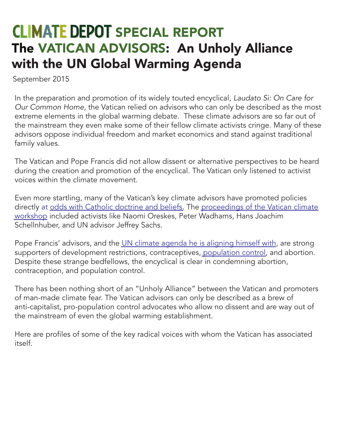## **CLIMATE DEPOT SPECIAL REPORT** The VATICAN ADVISORS: An Unholy Alliance with the UN Global Warming Agenda

September 2015

In the preparation and promotion of its widely touted encyclical, *Laudato Si: On Care for Our Common Home*, the Vatican relied on advisors who can only be described as the most extreme elements in the global warming debate. These climate advisors are so far out of the mainstream they even make some of their fellow climate activists cringe. Many of these advisors oppose individual freedom and market economics and stand against traditional family values.

The Vatican and Pope Francis did not allow dissent or alternative perspectives to be heard during the creation and promotion of the encyclical. The Vatican only listened to activist voices within the climate movement.

Even more startling, many of the Vatican's key climate advisors have promoted policies directly at [odds with Catholic doctrine and beliefs.](http://www.climatedepot.com/2015/02/02/pope-francis-apparently-doesnt-know-un-ipcc-climate-objective-contradicts-catholic-doctrine/) The proceedings of the Vatican climate [workshop](http://www.casinapioiv.va/content/accademia/en/publications/extraseries/sustainable.html) included activists like Naomi Oreskes, Peter Wadhams, Hans Joachim Schellnhuber, and UN advisor Jeffrey Sachs.

Pope Francis' advisors, and the [UN climate agenda he is aligning himself with](http://www.climatedepot.com/2012/02/07/read-all-about-it-climate-depots-round-up-of-uns-sustainable-development-efforts/), are strong supporters of development restrictions, contraceptives, [population control,](http://www.climatedepot.com/2014/01/27/gore-fertility-management-is-needed-in-africa-to-help-control-the-proliferation-of-unusual-weather/) and abortion. Despite these strange bedfellows, the encyclical is clear in condemning abortion, contraception, and population control.

There has been nothing short of an "Unholy Alliance" between the Vatican and promoters of man-made climate fear. The Vatican advisors can only be described as a brew of anti-capitalist, pro-population control advocates who allow no dissent and are way out of the mainstream of even the global warming establishment.

Here are profiles of some of the key radical voices with whom the Vatican has associated itself.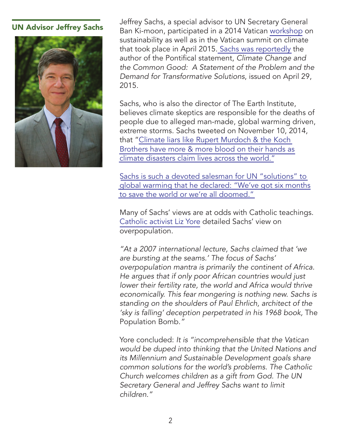

UN Advisor Jeffrey Sachs, a special advisor to UN Secretary General<br>UN Advisor Jeffrey Sachs<br>
Ben Ki meen participated in a 2014 Vatican werkshep o Ban Ki-moon, participated in a 2014 Vatican [workshop](http://www.casinapioiv.va/content/accademia/en/publications/extraseries/sustainable.html) on sustainability as well as in the Vatican summit on climate that took place in April 2015[. Sachs was reportedly](https://www.heartland.org/sites/default/files/liz_yore.pdf) the author of the Pontifical statement, *Climate Change and the Common Good: A Statement of the Problem and the Demand for Transformative Solutions*, issued on April 29, 2015.

> Sachs, who is also the director of The Earth Institute, believes climate skeptics are responsible for the deaths of people due to alleged man-made, global warming driven, extreme storms. Sachs tweeted on November 10, 2014, that ["Climate liars like Rupert Murdoch & the Koch](https://twitter.com/JeffDSachs/status/399595302803369984)  [Brothers have more & more blood on their hands as](https://twitter.com/JeffDSachs/status/399595302803369984)  [climate disasters claim lives across the world."](https://twitter.com/JeffDSachs/status/399595302803369984)

[Sachs is such a devoted salesman for UN "solutions" to](http://www.climatedepot.com/2015/06/24/papal-un-advisor-jeffrey-sachs-weve-got-six-months-to-save-the-world-or-were-all-doomed/)  [global warming that he declared: "We've got six months](http://www.climatedepot.com/2015/06/24/papal-un-advisor-jeffrey-sachs-weve-got-six-months-to-save-the-world-or-were-all-doomed/)  [to save the world or we're all doomed."](http://www.climatedepot.com/2015/06/24/papal-un-advisor-jeffrey-sachs-weve-got-six-months-to-save-the-world-or-were-all-doomed/)

Many of Sachs' views are at odds with Catholic teachings. [Catholic activist Liz Yore](https://www.heartland.org/sites/default/files/liz_yore.pdf) detailed Sachs' view on overpopulation.

*"At a 2007 international lecture, Sachs claimed that 'we are bursting at the seams.' The focus of Sachs' overpopulation mantra is primarily the continent of Africa. He argues that if only poor African countries would just lower their fertility rate, the world and Africa would thrive economically. This fear mongering is nothing new. Sachs is standing on the shoulders of Paul Ehrlich, architect of the*  'sky is falling' deception perpetrated in his 1968 book, The Population Bomb.*"*

Yore concluded: *It is "incomprehensible that the Vatican*  would be duped into thinking that the United Nations and *its Millennium and Sustainable Development goals share common solutions for the world's problems. The Catholic Church welcomes children as a gift from God. The UN Secretary General and Jeffrey Sachs want to limit children."*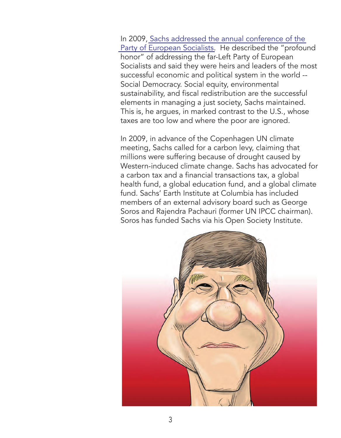In 2009, [Sachs addressed the annual conference of the](http://www.climatedepot.com/2013/11/18/more-anti-science-rants-from-un-advisor-jeffrey-sachs-uses-tornado-outbreak-in-u-s-to-push-global-warming-sachs-weather-tragedy-in-illinois-research-shows-human-induced-warming-is-likely-to-l/)  [Party of European Socialists.](http://www.climatedepot.com/2013/11/18/more-anti-science-rants-from-un-advisor-jeffrey-sachs-uses-tornado-outbreak-in-u-s-to-push-global-warming-sachs-weather-tragedy-in-illinois-research-shows-human-induced-warming-is-likely-to-l/) He described the "profound honor" of addressing the far-Left Party of European Socialists and said they were heirs and leaders of the most successful economic and political system in the world -- Social Democracy. Social equity, environmental sustainability, and fiscal redistribution are the successful elements in managing a just society, Sachs maintained. This is, he argues, in marked contrast to the U.S., whose taxes are too low and where the poor are ignored.

In 2009, in advance of the Copenhagen UN climate meeting, Sachs called for a carbon levy, claiming that millions were suffering because of drought caused by Western-induced climate change. Sachs has advocated for a carbon tax and a financial transactions tax, a global health fund, a global education fund, and a global climate fund. Sachs' Earth Institute at Columbia has included members of an external advisory board such as George Soros and Rajendra Pachauri (former UN IPCC chairman). Soros has funded Sachs via his Open Society Institute.

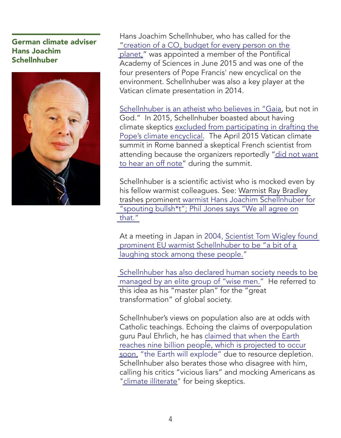German climate adviser Hans Joachim Schellnhuber



Hans Joachim Schellnhuber, who has called for the "creation of a CO $_2$  budget for every person on the [planet,"](http://www.climatedepot.com/2009/09/06/flashback-alert-german-climate-advisor-proposes-creation-of-a-co2-budget-for-every-person-on-planet/) was appointed a member of the Pontifical Academy of Sciences in June 2015 and was one of the four presenters of Pope Francis' new encyclical on the environment. Schellnhuber was also a key player at the Vatican climate presentation in 2014.

[Schellnhuber is an atheist who believes in "Gaia,](http://www.climatedepot.com/2015/06/23/popes-key-science-advisor-hans-schellnhuber-is-an-atheist-who-believes-in-gaia-but-not-in-god/) but not in God." In 2015, Schellnhuber boasted about having climate skeptics [excluded from participating in drafting the](http://www.climatedepot.com/2015/06/30/vatican-advisor-hans-schellnhuber-boasts-of-having-skeptics-excluded-from-participating-in-drafting-climate-encyclical/)  [Pope's climate encyclical.](http://www.climatedepot.com/2015/06/30/vatican-advisor-hans-schellnhuber-boasts-of-having-skeptics-excluded-from-participating-in-drafting-climate-encyclical/) The April 2015 Vatican climate summit in Rome banned a skeptical French scientist from attending because the organizers reportedly ["did not want](http://www.climatedepot.com/2015/06/20/update-vatican-banned-skeptical-french-scientist-from-climate-summit-they-did-not-want-to-hear-an-off-note/)  [to hear an off note"](http://www.climatedepot.com/2015/06/20/update-vatican-banned-skeptical-french-scientist-from-climate-summit-they-did-not-want-to-hear-an-off-note/) during the summit.

Schellnhuber is a scientific activist who is mocked even by his fellow warmist colleagues. See: [Warmist Ray Bradley](http://www.climatedepot.com/2011/11/29/consensus-warmist-ray-bradley-trashes-prominent-warmist-hans-joachim-schellnhuber-for-spouting-bullshit-phil-jones-says-we-all-agree-on-that/)  [trashes prominent warmist Hans Joachim Schellnhuber for](http://www.climatedepot.com/2011/11/29/consensus-warmist-ray-bradley-trashes-prominent-warmist-hans-joachim-schellnhuber-for-spouting-bullshit-phil-jones-says-we-all-agree-on-that/) ["spouting bullsh\\*t"; Phil Jones says "We all agree on](http://www.climatedepot.com/2011/11/29/consensus-warmist-ray-bradley-trashes-prominent-warmist-hans-joachim-schellnhuber-for-spouting-bullshit-phil-jones-says-we-all-agree-on-that/) [that."](http://www.climatedepot.com/2011/11/29/consensus-warmist-ray-bradley-trashes-prominent-warmist-hans-joachim-schellnhuber-for-spouting-bullshit-phil-jones-says-we-all-agree-on-that/)

At a meeting in Japan in 2004, [Scientist Tom Wigley found](http://www.climatedepot.com/2011/12/04/2004-tom-wigley-goes-to-a-meeting-in-japan-finds-that-prominent-eu-warmist-schellnhuber-is-a-bit-of-a-laughing-stock-among-these-people/)  [prominent EU warmist Schellnhuber to be "a bit of a](http://www.climatedepot.com/2011/12/04/2004-tom-wigley-goes-to-a-meeting-in-japan-finds-that-prominent-eu-warmist-schellnhuber-is-a-bit-of-a-laughing-stock-among-these-people/)  [laughing stock among these people."](http://www.climatedepot.com/2011/12/04/2004-tom-wigley-goes-to-a-meeting-in-japan-finds-that-prominent-eu-warmist-schellnhuber-is-a-bit-of-a-laughing-stock-among-these-people/)

[Schellnhuber has also declared human society needs to be](http://www.climatedepot.com/2011/03/30/another-german-will-unveil-a-master-plan-for-a-transformation-of-society-climate-advisor-hans-schellnhuber-declares-human-society-needs-to-be-managed-by-elite-group-of-wise-men/)  [managed by an elite group of "wise men."](http://www.climatedepot.com/2011/03/30/another-german-will-unveil-a-master-plan-for-a-transformation-of-society-climate-advisor-hans-schellnhuber-declares-human-society-needs-to-be-managed-by-elite-group-of-wise-men/) He referred to this idea as his "master plan" for the "great transformation" of global society.

Schellnhuber's views on population also are at odds with Catholic teachings. Echoing the claims of overpopulation guru Paul Ehrlich, he has [claimed that when the Earth](http://www.climatedepot.com/2015/06/21/vaticans-newest-global-warming-extremist-calls-critics-vicious-liars/)  [reaches nine billion people, which is projected to occur](http://www.climatedepot.com/2015/06/21/vaticans-newest-global-warming-extremist-calls-critics-vicious-liars/)  [soon,](http://www.climatedepot.com/2015/06/21/vaticans-newest-global-warming-extremist-calls-critics-vicious-liars/) "the Earth will explode" due to resource depletion. Schellnhuber also berates those who disagree with him, calling his critics "vicious liars" and mocking Americans as ["climate illiterate"](http://www.climatedepot.com/2009/09/29/americans-are-climate-illiterate-claims-german-climate-advisor-schellnhuber/) for being skeptics.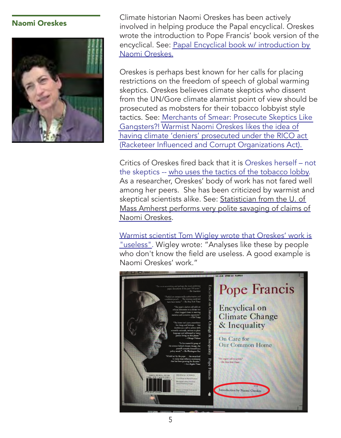

Naomi Oreskes Climate historian Naomi Oreskes has been actively involved in helping produce the Papal encyclical. Oreskes wrote the introduction to Pope Francis' book version of the encyclical. See: [Papal Encyclical book w/](http://www.climatedepot.com/2015/07/15/every-catholics-worst-nightmare-coming-soon-papal-encyclical-forward-by-naomi-oreskes/) introduction by [Naomi Oreskes.](http://www.climatedepot.com/2015/07/15/every-catholics-worst-nightmare-coming-soon-papal-encyclical-forward-by-naomi-oreskes/)

> Oreskes is perhaps best known for her calls for placing restrictions on the freedom of speech of global warming skeptics. Oreskes believes climate skeptics who dissent from the UN/Gore climate alarmist point of view should be prosecuted as mobsters for their tobacco lobbyist style tactics. See: [Merchants of Smear: Prosecute Skeptics Like](http://www.climatedepot.com/2014/02/24/merchants-of-smear-prosecute-skeptics-like-gangsters-warmist-naomi-oreskes-likes-the-idea-of-having-climate-deniers-prosecuted-under-the-rico-act-racketeer-influenced-and-corrupt-organizations/)  [Gangsters?! Warmist Naomi Oreskes likes the idea of](http://www.climatedepot.com/2014/02/24/merchants-of-smear-prosecute-skeptics-like-gangsters-warmist-naomi-oreskes-likes-the-idea-of-having-climate-deniers-prosecuted-under-the-rico-act-racketeer-influenced-and-corrupt-organizations/)  [having climate 'deniers' prosecuted under the RICO act](http://www.climatedepot.com/2014/02/24/merchants-of-smear-prosecute-skeptics-like-gangsters-warmist-naomi-oreskes-likes-the-idea-of-having-climate-deniers-prosecuted-under-the-rico-act-racketeer-influenced-and-corrupt-organizations/)  [\(Racketeer Influenced and Corrupt Organizations Act\).](http://www.climatedepot.com/2014/02/24/merchants-of-smear-prosecute-skeptics-like-gangsters-warmist-naomi-oreskes-likes-the-idea-of-having-climate-deniers-prosecuted-under-the-rico-act-racketeer-influenced-and-corrupt-organizations/)

> Critics of Oreskes fired back that it is Oreskes herself – not the skeptics -- [who uses the tactics of the tobacco lobby.](http://www.climatedepot.com/2015/03/06/naomi-oreskes-the-merchant-of-doubt-herself-uses-tactics-of-the-tobacco-lobby/) As a researcher, Oreskes' body of work has not fared well among her peers. She has been criticized by warmist and skeptical scientists alike. See: [Statistician from the U. of](http://www.climatedepot.com/2015/02/03/statistician-from-the-u-of-mass-amherst-performs-very-polite-savaging-of-claims-of-naomi-oreskes/)  [Mass Amherst performs very polite savaging of claims of](http://www.climatedepot.com/2015/02/03/statistician-from-the-u-of-mass-amherst-performs-very-polite-savaging-of-claims-of-naomi-oreskes/)  [Naomi Oreskes.](http://www.climatedepot.com/2015/02/03/statistician-from-the-u-of-mass-amherst-performs-very-polite-savaging-of-claims-of-naomi-oreskes/)

[Warmist scientist Tom Wigley wrote that Oreskes' work is](http://www.climatedepot.com/2013/03/13/climategate-30-tom-wigley-says-warmist-naomi-oreskes-work-is-useless/)  ["useless".](http://www.climatedepot.com/2013/03/13/climategate-30-tom-wigley-says-warmist-naomi-oreskes-work-is-useless/) Wigley wrote: "Analyses like these by people who don't know the field are useless. A good example is Naomi Oreskes' work."

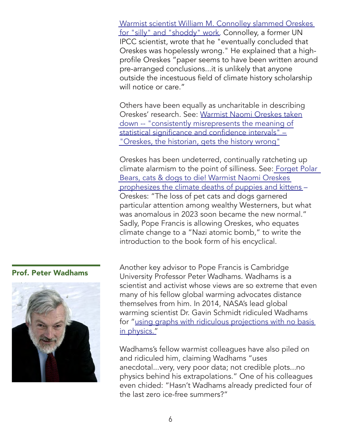[Warmist scientist William M. Connolley slammed Oreskes](http://www.climatedepot.com/2010/07/06/warmist-vs-warmist-william-m-connolley-slams-naomi-oreskes-for-silly-and-shoddy-work-oreskes-email-noreskesucsdedu/)  [for "silly" and "shoddy" work.](http://www.climatedepot.com/2010/07/06/warmist-vs-warmist-william-m-connolley-slams-naomi-oreskes-for-silly-and-shoddy-work-oreskes-email-noreskesucsdedu/) Connolley, a former UN IPCC scientist, wrote that he "eventually concluded that Oreskes was hopelessly wrong." He explained that a highprofile Oreskes "paper seems to have been written around pre-arranged conclusions...it is unlikely that anyone outside the incestuous field of climate history scholarship will notice or care."

Others have been equally as uncharitable in describing Oreskes' research. See: [Warmist Naomi Oreskes taken](http://www.climatedepot.com/2015/01/07/warmist-naomi-oreskes-taken-down-for-consistently-misrepresents-the-meaning-of-statistical-significance-and-confidence-intervals-oreskes-the-historian-gets-the-history-wrong/)  [down -- "consistently misrepresents the meaning of](http://www.climatedepot.com/2015/01/07/warmist-naomi-oreskes-taken-down-for-consistently-misrepresents-the-meaning-of-statistical-significance-and-confidence-intervals-oreskes-the-historian-gets-the-history-wrong/)  [statistical significance and confidence intervals" –](http://www.climatedepot.com/2015/01/07/warmist-naomi-oreskes-taken-down-for-consistently-misrepresents-the-meaning-of-statistical-significance-and-confidence-intervals-oreskes-the-historian-gets-the-history-wrong/)  ["Oreskes, the historian, gets the history wrong"](http://www.climatedepot.com/2015/01/07/warmist-naomi-oreskes-taken-down-for-consistently-misrepresents-the-meaning-of-statistical-significance-and-confidence-intervals-oreskes-the-historian-gets-the-history-wrong/)

Oreskes has been undeterred, continually ratcheting up climate alarmism to the point of silliness. See: [Forget Polar](http://www.climatedepot.com/2014/09/02/forget-polar-bears-cats-dogs-to-die-warmist-naomi-oreskes-prophesizes-the-climate-deaths-of-puppies-and-kittens/)  [Bears, cats & dogs to die! Warmist Naomi Oreskes](http://www.climatedepot.com/2014/09/02/forget-polar-bears-cats-dogs-to-die-warmist-naomi-oreskes-prophesizes-the-climate-deaths-of-puppies-and-kittens/)  [prophesizes the climate deaths of puppies and kittens](http://www.climatedepot.com/2014/09/02/forget-polar-bears-cats-dogs-to-die-warmist-naomi-oreskes-prophesizes-the-climate-deaths-of-puppies-and-kittens/) – Oreskes: "The loss of pet cats and dogs garnered particular attention among wealthy Westerners, but what was anomalous in 2023 soon became the new normal." Sadly, Pope Francis is allowing Oreskes, who equates climate change to a "Nazi atomic bomb," to write the introduction to the book form of his encyclical.



**Prof. Peter Wadhams** Another key advisor to Pope Francis is Cambridge University Professor Peter Wadhams. Wadhams is a scientist and activist whose views are so extreme that even many of his fellow global warming advocates distance themselves from him. In 2014, NASA's lead global warming scientist Dr. Gavin Schmidt ridiculed Wadhams for ["using graphs with ridiculous projections with no basis](http://www.climatedepot.com/2014/10/08/warmists-attack-fellow-warmist-prof-peter-wadhams-for-using-graphs-with-ridiculous-projections-with-no-basis-in-physics/)  [in physics."](http://www.climatedepot.com/2014/10/08/warmists-attack-fellow-warmist-prof-peter-wadhams-for-using-graphs-with-ridiculous-projections-with-no-basis-in-physics/)

> Wadhams's fellow warmist colleagues have also piled on and ridiculed him, claiming Wadhams "uses anecdotal...very, very poor data; not credible plots...no physics behind his extrapolations." One of his colleagues even chided: "Hasn't Wadhams already predicted four of the last zero ice-free summers?"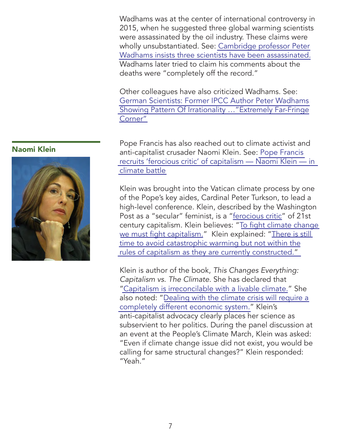Wadhams was at the center of international controversy in 2015, when he suggested three global warming scientists were assassinated by the oil industry. These claims were wholly unsubstantiated. See: [Cambridge professor Peter](http://www.climatedepot.com/2015/07/26/cambridge-professor-peter-wadhams-insists-three-scientists-have-been-assassinated/)  [Wadhams insists three scientists have been assassinated.](http://www.climatedepot.com/2015/07/26/cambridge-professor-peter-wadhams-insists-three-scientists-have-been-assassinated/) Wadhams later tried to claim his comments about the deaths were "completely off the record."

Other colleagues have also criticized Wadhams. See: [German Scientists: Former IPCC Author Peter Wadhams](http://www.climatedepot.com/2015/08/07/german-scientists-former-ipcc-author-peter-wadhams-showing-pattern-of-irrationality-extremely-far-fringe-corner/)  [Showing Pattern Of Irrationality …"Extremely Far-Fringe](http://www.climatedepot.com/2015/08/07/german-scientists-former-ipcc-author-peter-wadhams-showing-pattern-of-irrationality-extremely-far-fringe-corner/) [Corner"](http://www.climatedepot.com/2015/08/07/german-scientists-former-ipcc-author-peter-wadhams-showing-pattern-of-irrationality-extremely-far-fringe-corner/)

Pope Francis has also reached out to climate activist and anti-capitalist crusader Naomi Klein. See: [Pope Francis](http://www.climatedepot.com/2015/06/27/pope-francis-recruits-ferocious-critic-of-capitalism-naomi-klein-in-climate-battle/)  [recruits 'ferocious critic' of capitalism — Naomi Klein — in](http://www.climatedepot.com/2015/06/27/pope-francis-recruits-ferocious-critic-of-capitalism-naomi-klein-in-climate-battle/)  [climate battle](http://www.climatedepot.com/2015/06/27/pope-francis-recruits-ferocious-critic-of-capitalism-naomi-klein-in-climate-battle/)

Klein was brought into the Vatican climate process by one of the Pope's key aides, Cardinal Peter Turkson, to lead a high-level conference. Klein, described by the Washington Post as a "secular" feminist, is a ["ferocious critic"](http://www.climatedepot.com/2015/06/27/pope-francis-recruits-ferocious-critic-of-capitalism-naomi-klein-in-climate-battle/) of 21st century capitalism. Klein believes: "[To fight climate change](http://www.climatedepot.com/2015/05/10/naomi-klein-to-fight-climate-change-we-must-fight-capitalism/)  [we must fight capitalism.](http://www.climatedepot.com/2015/05/10/naomi-klein-to-fight-climate-change-we-must-fight-capitalism/)" Klein explained: ["There is still](http://www.climatedepot.com/2015/02/03/warmist-naomi-klein-there-is-still-time-to-avoid-catastrophic-warming-but-not-within-the-rules-of-capitalism/)  [time to avoid catastrophic warming but not within the](http://www.climatedepot.com/2015/02/03/warmist-naomi-klein-there-is-still-time-to-avoid-catastrophic-warming-but-not-within-the-rules-of-capitalism/) [rules of capitalism as they are currently constructed."](http://www.climatedepot.com/2015/02/03/warmist-naomi-klein-there-is-still-time-to-avoid-catastrophic-warming-but-not-within-the-rules-of-capitalism/)

Klein is author of the book, *This Changes Everything: Capitalism vs. The Climate*. She has declared that ["Capitalism is irreconcilable with a livable climate.](http://www.climatedepot.com/2014/09/18/warmist-naomi-klein-capitalism-is-irreconcilable-with-a-livable-climate-facing-climate-change-head-on-means-changing-capitalism/)" She also noted: "[Dealing with the climate crisis will require a](http://www.climatedepot.com/2014/08/30/warmist-naomi-klein-dealing-with-the-climate-crisis-will-require-a-completely-different-economic-system/)  [completely different economic system."](http://www.climatedepot.com/2014/08/30/warmist-naomi-klein-dealing-with-the-climate-crisis-will-require-a-completely-different-economic-system/) Klein's anti-capitalist advocacy clearly places her science as subservient to her politics. During the panel discussion at an event at the People's Climate March, Klein was asked: "Even if climate change issue did not exist, you would be calling for same structural changes?" Klein responded: "Yeah."

### Naomi Klein